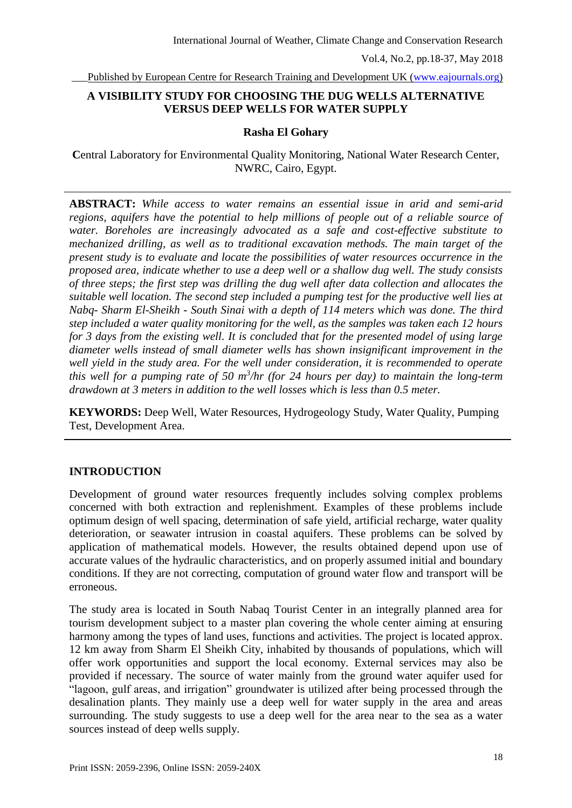Published by European Centre for Research Training and Development UK [\(www.eajournals.org\)](http://www.eajournals.org/)

# **A VISIBILITY STUDY FOR CHOOSING THE DUG WELLS ALTERNATIVE VERSUS DEEP WELLS FOR WATER SUPPLY**

#### **Rasha El Gohary**

**C**entral Laboratory for Environmental Quality Monitoring, National Water Research Center, NWRC, Cairo, Egypt.

**ABSTRACT:** *While access to water remains an essential issue in arid and semi-arid regions, aquifers have the potential to help millions of people out of a reliable source of water. Boreholes are increasingly advocated as a safe and cost-effective substitute to mechanized drilling, as well as to traditional excavation methods. The main target of the present study is to evaluate and locate the possibilities of water resources occurrence in the proposed area, indicate whether to use a deep well or a shallow dug well. The study consists of three steps; the first step was drilling the dug well after data collection and allocates the suitable well location. The second step included a pumping test for the productive well lies at Nabq- Sharm El-Sheikh - South Sinai with a depth of 114 meters which was done. The third step included a water quality monitoring for the well, as the samples was taken each 12 hours for 3 days from the existing well. It is concluded that for the presented model of using large diameter wells instead of small diameter wells has shown insignificant improvement in the well yield in the study area. For the well under consideration, it is recommended to operate this well for a pumping rate of 50 m<sup>3</sup> /hr (for 24 hours per day) to maintain the long-term drawdown at 3 meters in addition to the well losses which is less than 0.5 meter.*

**KEYWORDS:** Deep Well, Water Resources, Hydrogeology Study, Water Quality, Pumping Test, Development Area.

### **INTRODUCTION**

Development of ground water resources frequently includes solving complex problems concerned with both extraction and replenishment. Examples of these problems include optimum design of well spacing, determination of safe yield, artificial recharge, water quality deterioration, or seawater intrusion in coastal aquifers. These problems can be solved by application of mathematical models. However, the results obtained depend upon use of accurate values of the hydraulic characteristics, and on properly assumed initial and boundary conditions. If they are not correcting, computation of ground water flow and transport will be erroneous.

The study area is located in South Nabaq Tourist Center in an integrally planned area for tourism development subject to a master plan covering the whole center aiming at ensuring harmony among the types of land uses, functions and activities. The project is located approx. 12 km away from Sharm El Sheikh City, inhabited by thousands of populations, which will offer work opportunities and support the local economy. External services may also be provided if necessary. The source of water mainly from the ground water aquifer used for "lagoon, gulf areas, and irrigation" groundwater is utilized after being processed through the desalination plants. They mainly use a deep well for water supply in the area and areas surrounding. The study suggests to use a deep well for the area near to the sea as a water sources instead of deep wells supply.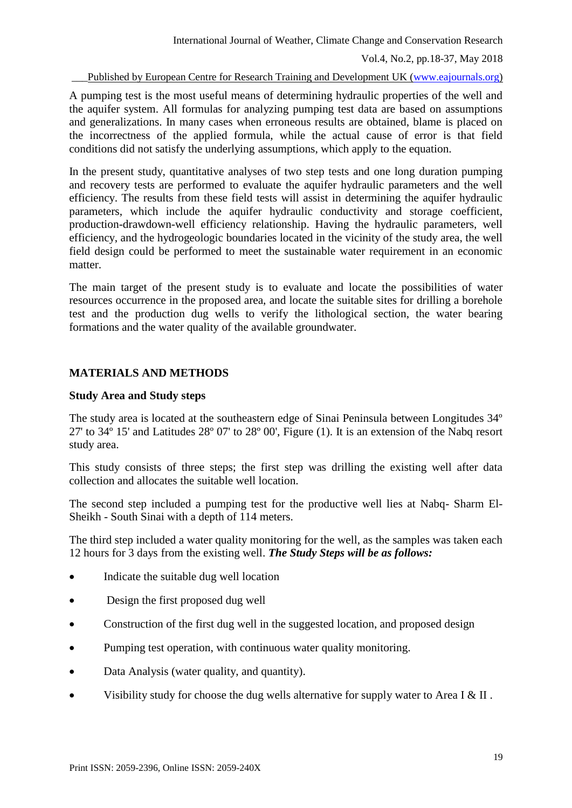Published by European Centre for Research Training and Development UK [\(www.eajournals.org\)](http://www.eajournals.org/)

A pumping test is the most useful means of determining hydraulic properties of the well and the aquifer system. All formulas for analyzing pumping test data are based on assumptions and generalizations. In many cases when erroneous results are obtained, blame is placed on the incorrectness of the applied formula, while the actual cause of error is that field conditions did not satisfy the underlying assumptions, which apply to the equation.

In the present study, quantitative analyses of two step tests and one long duration pumping and recovery tests are performed to evaluate the aquifer hydraulic parameters and the well efficiency. The results from these field tests will assist in determining the aquifer hydraulic parameters, which include the aquifer hydraulic conductivity and storage coefficient, production-drawdown-well efficiency relationship. Having the hydraulic parameters, well efficiency, and the hydrogeologic boundaries located in the vicinity of the study area, the well field design could be performed to meet the sustainable water requirement in an economic matter.

The main target of the present study is to evaluate and locate the possibilities of water resources occurrence in the proposed area, and locate the suitable sites for drilling a borehole test and the production dug wells to verify the lithological section, the water bearing formations and the water quality of the available groundwater.

# **MATERIALS AND METHODS**

## **Study Area and Study steps**

The study area is located at the southeastern edge of Sinai Peninsula between Longitudes 34º 27' to 34º 15' and Latitudes 28º 07' to 28º 00', Figure (1). It is an extension of the Nabq resort study area.

This study consists of three steps; the first step was drilling the existing well after data collection and allocates the suitable well location.

The second step included a pumping test for the productive well lies at Nabq- Sharm El-Sheikh - South Sinai with a depth of 114 meters.

The third step included a water quality monitoring for the well, as the samples was taken each 12 hours for 3 days from the existing well. *The Study Steps will be as follows:*

- Indicate the suitable dug well location
- Design the first proposed dug well
- Construction of the first dug well in the suggested location, and proposed design
- Pumping test operation, with continuous water quality monitoring.
- Data Analysis (water quality, and quantity).
- Visibility study for choose the dug wells alternative for supply water to Area I & II .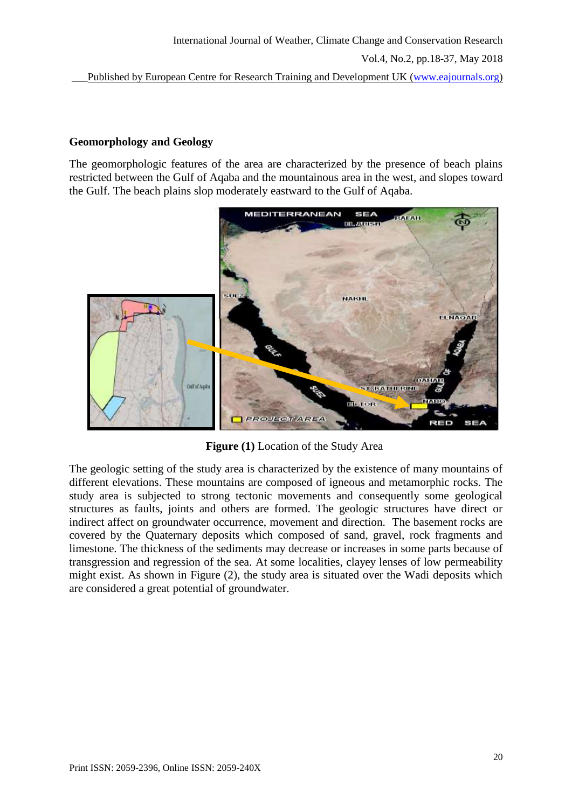# **Geomorphology and Geology**

The geomorphologic features of the area are characterized by the presence of beach plains restricted between the Gulf of Aqaba and the mountainous area in the west, and slopes toward the Gulf. The beach plains slop moderately eastward to the Gulf of Aqaba.



**Figure (1)** Location of the Study Area

The geologic setting of the study area is characterized by the existence of many mountains of different elevations. These mountains are composed of igneous and metamorphic rocks. The study area is subjected to strong tectonic movements and consequently some geological structures as faults, joints and others are formed. The geologic structures have direct or indirect affect on groundwater occurrence, movement and direction. The basement rocks are covered by the Quaternary deposits which composed of sand, gravel, rock fragments and limestone. The thickness of the sediments may decrease or increases in some parts because of transgression and regression of the sea. At some localities, clayey lenses of low permeability might exist. As shown in Figure (2), the study area is situated over the Wadi deposits which are considered a great potential of groundwater.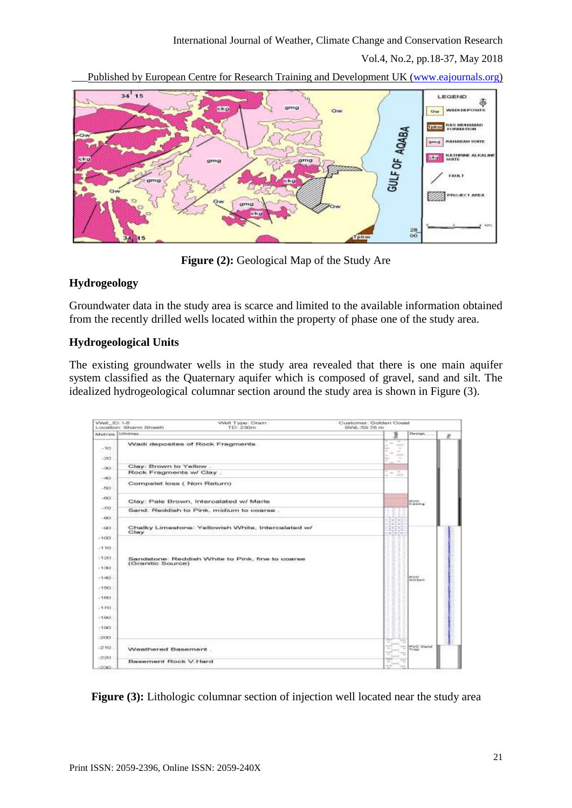

Published by European Centre for Research Training and Development UK [\(www.eajournals.org\)](http://www.eajournals.org/)



**Figure (2):** Geological Map of the Study Are

# **Hydrogeology**

Groundwater data in the study area is scarce and limited to the available information obtained from the recently drilled wells located within the property of phase one of the study area.

# **Hydrogeological Units**

The existing groundwater wells in the study area revealed that there is one main aquifer system classified as the Quaternary aquifer which is composed of gravel, sand and silt. The idealized hydrogeological columnar section around the study area is shown in Figure (3).

| Well 1D: 1-5        | Well Type: Drain<br>Liscartion: Sharm Shiekh<br>TD:-230m              | Customer, Golden Coast<br>SWA 59.76 m                                                                                                                               |                    |   |
|---------------------|-----------------------------------------------------------------------|---------------------------------------------------------------------------------------------------------------------------------------------------------------------|--------------------|---|
| Metres Limitary     |                                                                       | 扂                                                                                                                                                                   | <b>Design</b>      | æ |
| $-101$<br>$-203$    | Wadi deposites of Rock Fragments                                      | ÷<br>$\frac{1}{2} \left( \frac{1}{2} \right)^2$<br><b>Section</b><br>$-$<br>$\frac{1}{2} \left( \frac{1}{2} \right) \left( \frac{1}{2} \right)$<br>$\sim$<br>$\sim$ |                    |   |
| $-301$              | Clay: Brown to Yellow.                                                |                                                                                                                                                                     |                    |   |
|                     | Rock Fragments w/ Clay                                                | 2<br>$\sim$                                                                                                                                                         |                    |   |
| $-40.$<br>$-2901$   | Compelet loss (Non Return)                                            |                                                                                                                                                                     |                    |   |
| $-000$              | Clay: Pale Brown, Intercalated w/ Marie                               |                                                                                                                                                                     | <b>Bright</b>      |   |
| $-TO$               | Sand. Reddish to Pink, midium to coarse.                              |                                                                                                                                                                     |                    |   |
| $-6021$             |                                                                       |                                                                                                                                                                     |                    |   |
| $-600$              | Chalky Limestone: Yellowish White, Intercalated w/<br><b>Citary</b>   | $-1.1$                                                                                                                                                              |                    |   |
| $-100.$             |                                                                       |                                                                                                                                                                     |                    |   |
| $-110$              |                                                                       |                                                                                                                                                                     |                    |   |
| $-1203.$<br>$-1301$ | Sandstone: Reddish White to Pink, fine to coarse<br>(Granitic Source) |                                                                                                                                                                     |                    |   |
|                     |                                                                       |                                                                                                                                                                     |                    |   |
| $O(1 - 1)$          |                                                                       |                                                                                                                                                                     | arunts<br>drevene. |   |
| $-150$              |                                                                       |                                                                                                                                                                     |                    |   |
| $-1001$             |                                                                       |                                                                                                                                                                     |                    |   |
| $-170$              |                                                                       |                                                                                                                                                                     |                    |   |
| $-1503$             |                                                                       |                                                                                                                                                                     |                    |   |
| $-190$              |                                                                       |                                                                                                                                                                     |                    |   |
| $-200$              |                                                                       |                                                                                                                                                                     |                    |   |
| $-210$ .            | Weathered Basement.                                                   |                                                                                                                                                                     | <b>POVE Barrel</b> |   |
| -2201               | Bassement Rock V. Hard                                                |                                                                                                                                                                     |                    |   |
| 230.                |                                                                       |                                                                                                                                                                     |                    |   |

**Figure (3):** Lithologic columnar section of injection well located near the study area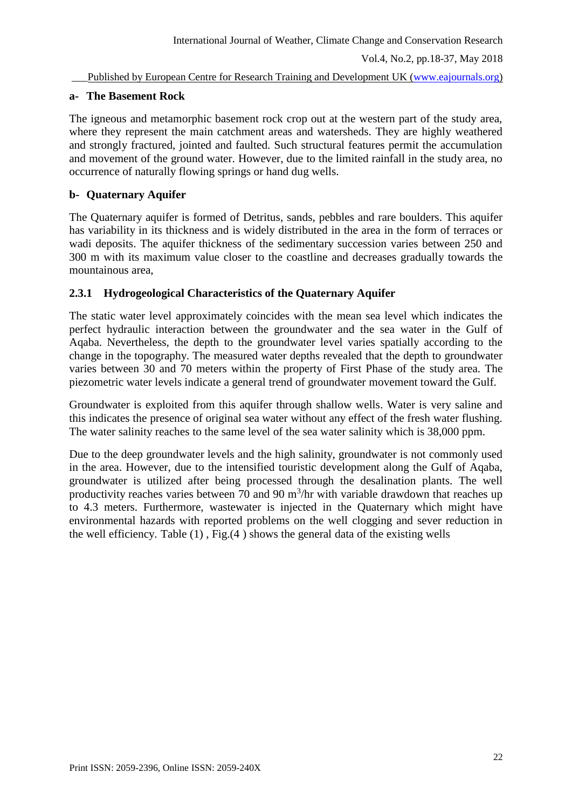# **a- The Basement Rock**

The igneous and metamorphic basement rock crop out at the western part of the study area, where they represent the main catchment areas and watersheds. They are highly weathered and strongly fractured, jointed and faulted. Such structural features permit the accumulation and movement of the ground water. However, due to the limited rainfall in the study area, no occurrence of naturally flowing springs or hand dug wells.

# **b- Quaternary Aquifer**

The Quaternary aquifer is formed of Detritus, sands, pebbles and rare boulders. This aquifer has variability in its thickness and is widely distributed in the area in the form of terraces or wadi deposits. The aquifer thickness of the sedimentary succession varies between 250 and 300 m with its maximum value closer to the coastline and decreases gradually towards the mountainous area,

# **2.3.1 Hydrogeological Characteristics of the Quaternary Aquifer**

The static water level approximately coincides with the mean sea level which indicates the perfect hydraulic interaction between the groundwater and the sea water in the Gulf of Aqaba. Nevertheless, the depth to the groundwater level varies spatially according to the change in the topography. The measured water depths revealed that the depth to groundwater varies between 30 and 70 meters within the property of First Phase of the study area. The piezometric water levels indicate a general trend of groundwater movement toward the Gulf.

Groundwater is exploited from this aquifer through shallow wells. Water is very saline and this indicates the presence of original sea water without any effect of the fresh water flushing. The water salinity reaches to the same level of the sea water salinity which is 38,000 ppm.

Due to the deep groundwater levels and the high salinity, groundwater is not commonly used in the area. However, due to the intensified touristic development along the Gulf of Aqaba, groundwater is utilized after being processed through the desalination plants. The well productivity reaches varies between 70 and 90  $m^3$ /hr with variable drawdown that reaches up to 4.3 meters. Furthermore, wastewater is injected in the Quaternary which might have environmental hazards with reported problems on the well clogging and sever reduction in the well efficiency. Table (1) , Fig.(4 ) shows the general data of the existing wells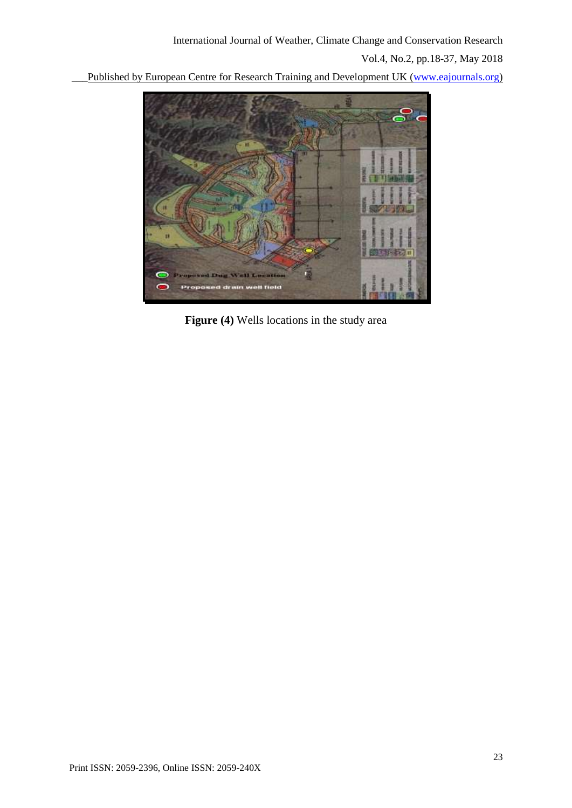\_\_\_Published by European Centre for Research Training and Development UK [\(www.eajournals.org\)](http://www.eajournals.org/)



**Figure (4)** Wells locations in the study area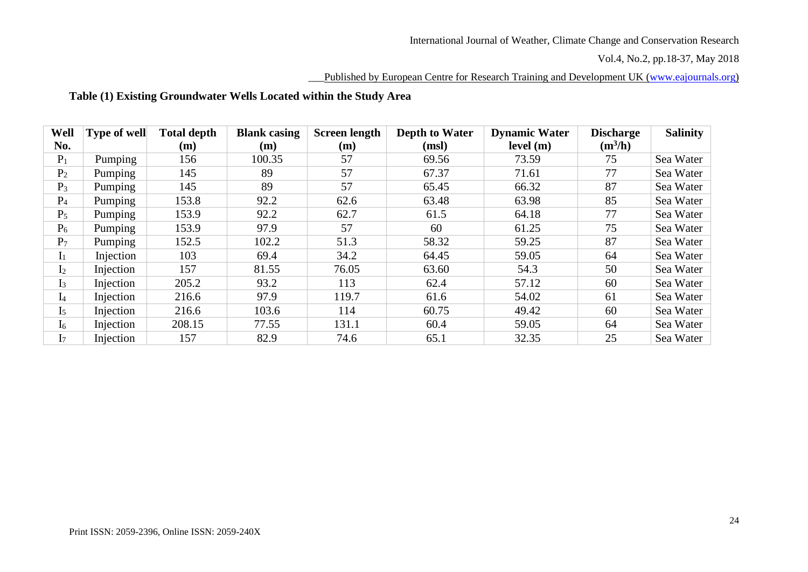#### Published by European Centre for Research Training and Development UK [\(www.eajournals.org\)](http://www.eajournals.org/)

# **Table (1) Existing Groundwater Wells Located within the Study Area**

| Well           | <b>Type of well</b> | <b>Total depth</b> | <b>Blank</b> casing | <b>Screen length</b> | <b>Depth to Water</b> | <b>Dynamic Water</b> | <b>Discharge</b> | <b>Salinity</b> |
|----------------|---------------------|--------------------|---------------------|----------------------|-----------------------|----------------------|------------------|-----------------|
| No.            |                     | (m)                | (m)                 | (m)                  | (msl)                 | level(m)             | $(m^3/h)$        |                 |
| $P_1$          | Pumping             | 156                | 100.35              | 57                   | 69.56                 | 73.59                | 75               | Sea Water       |
| P <sub>2</sub> | Pumping             | 145                | 89                  | 57                   | 67.37                 | 71.61                | 77               | Sea Water       |
| $P_3$          | Pumping             | 145                | 89                  | 57                   | 65.45                 | 66.32                | 87               | Sea Water       |
| P <sub>4</sub> | Pumping             | 153.8              | 92.2                | 62.6                 | 63.48                 | 63.98                | 85               | Sea Water       |
| $P_5$          | Pumping             | 153.9              | 92.2                | 62.7                 | 61.5                  | 64.18                | 77               | Sea Water       |
| $P_6$          | Pumping             | 153.9              | 97.9                | 57                   | 60                    | 61.25                | 75               | Sea Water       |
| $P_7$          | Pumping             | 152.5              | 102.2               | 51.3                 | 58.32                 | 59.25                | 87               | Sea Water       |
| $I_1$          | Injection           | 103                | 69.4                | 34.2                 | 64.45                 | 59.05                | 64               | Sea Water       |
| I <sub>2</sub> | Injection           | 157                | 81.55               | 76.05                | 63.60                 | 54.3                 | 50               | Sea Water       |
| $I_3$          | Injection           | 205.2              | 93.2                | 113                  | 62.4                  | 57.12                | 60               | Sea Water       |
| $I_4$          | Injection           | 216.6              | 97.9                | 119.7                | 61.6                  | 54.02                | 61               | Sea Water       |
| I <sub>5</sub> | Injection           | 216.6              | 103.6               | 114                  | 60.75                 | 49.42                | 60               | Sea Water       |
| $I_6$          | Injection           | 208.15             | 77.55               | 131.1                | 60.4                  | 59.05                | 64               | Sea Water       |
| I <sub>7</sub> | Injection           | 157                | 82.9                | 74.6                 | 65.1                  | 32.35                | 25               | Sea Water       |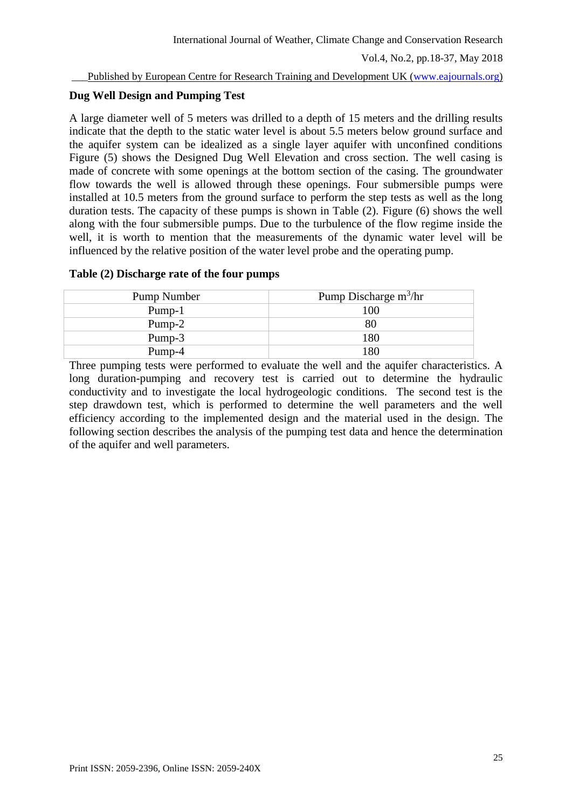# **Dug Well Design and Pumping Test**

A large diameter well of 5 meters was drilled to a depth of 15 meters and the drilling results indicate that the depth to the static water level is about 5.5 meters below ground surface and the aquifer system can be idealized as a single layer aquifer with unconfined conditions Figure (5) shows the Designed Dug Well Elevation and cross section. The well casing is made of concrete with some openings at the bottom section of the casing. The groundwater flow towards the well is allowed through these openings. Four submersible pumps were installed at 10.5 meters from the ground surface to perform the step tests as well as the long duration tests. The capacity of these pumps is shown in Table (2). Figure (6) shows the well along with the four submersible pumps. Due to the turbulence of the flow regime inside the well, it is worth to mention that the measurements of the dynamic water level will be influenced by the relative position of the water level probe and the operating pump.

# **Table (2) Discharge rate of the four pumps**

| Pump Number | Pump Discharge $m^3/hr$ |
|-------------|-------------------------|
| Pump-1      | 100                     |
| Pump-2      | 80                      |
| Pump-3      | 180                     |
| Pump-4      | $^{\circ}80$            |

Three pumping tests were performed to evaluate the well and the aquifer characteristics. A long duration-pumping and recovery test is carried out to determine the hydraulic conductivity and to investigate the local hydrogeologic conditions. The second test is the step drawdown test, which is performed to determine the well parameters and the well efficiency according to the implemented design and the material used in the design. The following section describes the analysis of the pumping test data and hence the determination of the aquifer and well parameters.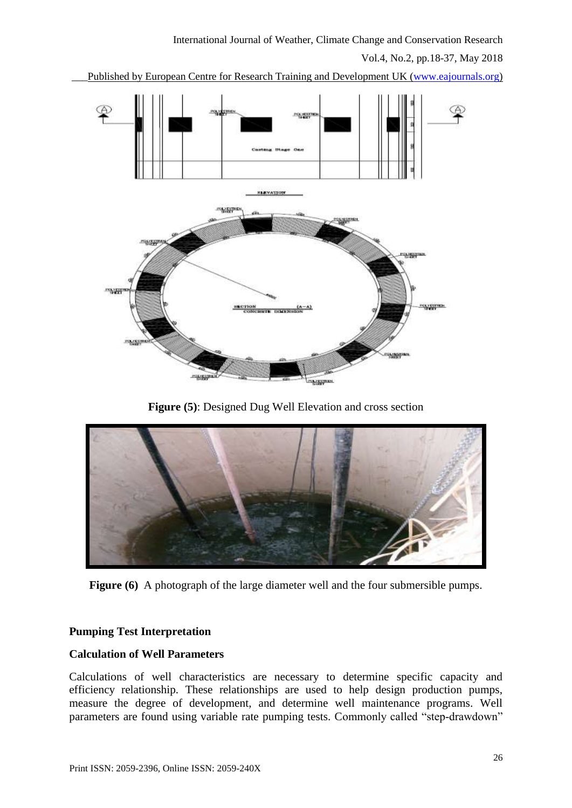Vol.4, No.2, pp.18-37, May 2018

Published by European Centre for Research Training and Development UK [\(www.eajournals.org\)](http://www.eajournals.org/)



**Figure (5)**: Designed Dug Well Elevation and cross section



**Figure (6)** A photograph of the large diameter well and the four submersible pumps.

# **Pumping Test Interpretation**

### **Calculation of Well Parameters**

Calculations of well characteristics are necessary to determine specific capacity and efficiency relationship. These relationships are used to help design production pumps, measure the degree of development, and determine well maintenance programs. Well parameters are found using variable rate pumping tests. Commonly called "step-drawdown"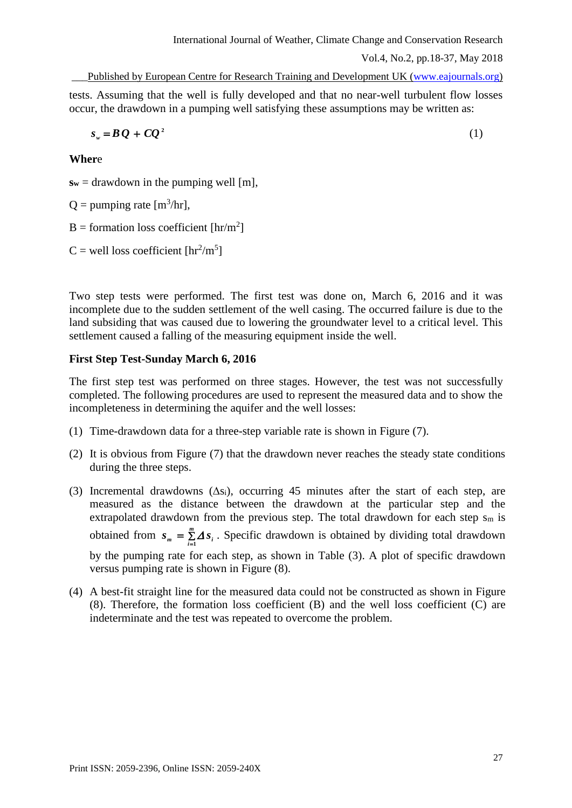```
Vol.4, No.2, pp.18-37, May 2018
```
tests. Assuming that the well is fully developed and that no near-well turbulent flow losses occur, the drawdown in a pumping well satisfying these assumptions may be written as:

$$
sw = BQ + CQ2
$$
 (1)

**Wher**e

 $s_w$  = drawdown in the pumping well [m],

 $Q =$  pumping rate  $[m^3/hr]$ ,

 $B =$  formation loss coefficient  $[\text{hr/m}^2]$ 

 $C$  = well loss coefficient  $[\text{hr}^2/\text{m}^5]$ 

Two step tests were performed. The first test was done on, March 6, 2016 and it was incomplete due to the sudden settlement of the well casing. The occurred failure is due to the land subsiding that was caused due to lowering the groundwater level to a critical level. This settlement caused a falling of the measuring equipment inside the well.

## **First Step Test-Sunday March 6, 2016**

The first step test was performed on three stages. However, the test was not successfully completed. The following procedures are used to represent the measured data and to show the incompleteness in determining the aquifer and the well losses:

- (1) Time-drawdown data for a three-step variable rate is shown in Figure (7).
- (2) It is obvious from Figure (7) that the drawdown never reaches the steady state conditions during the three steps.
- (3) Incremental drawdowns  $(\Delta s_i)$ , occurring 45 minutes after the start of each step, are measured as the distance between the drawdown at the particular step and the extrapolated drawdown from the previous step. The total drawdown for each step  $s_m$  is obtained from  $s_m = \sum_{i=1}^{m}$  $s_m = \sum_{i=1}^{n} \Delta s_i$ . Specific drawdown is obtained by dividing total drawdown by the pumping rate for each step, as shown in Table (3). A plot of specific drawdown versus pumping rate is shown in Figure (8).
- (4) A best-fit straight line for the measured data could not be constructed as shown in Figure (8). Therefore, the formation loss coefficient (B) and the well loss coefficient (C) are indeterminate and the test was repeated to overcome the problem.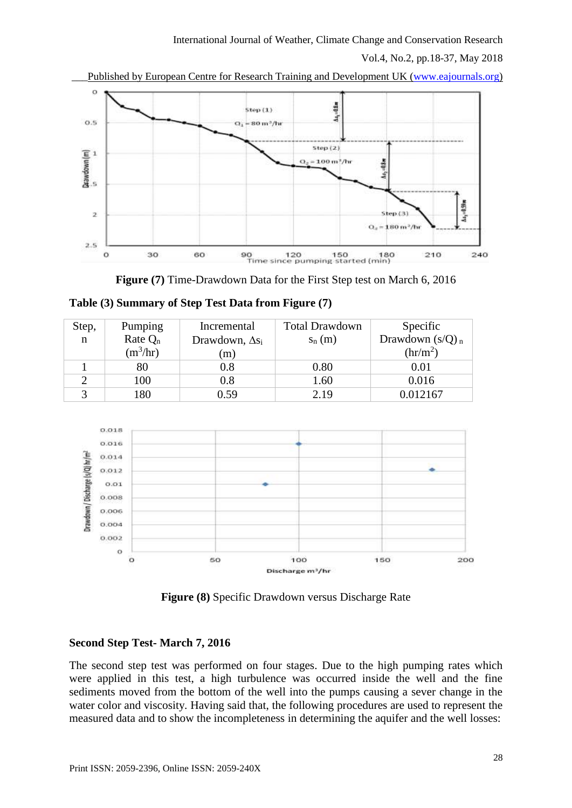

Published by European Centre for Research Training and Development UK [\(www.eajournals.org\)](http://www.eajournals.org/)

**Figure (7)** Time-Drawdown Data for the First Step test on March 6, 2016

| Step, | Pumping    | Incremental            | <b>Total Drawdown</b> | Specific                      |
|-------|------------|------------------------|-----------------------|-------------------------------|
| n     | Rate $Q_n$ | Drawdown, $\Delta s_i$ | $s_n(m)$              | Drawdown $(s/Q)$ <sub>n</sub> |
|       | $(m^3/hr)$ | (m)                    |                       | $\text{(hr/m}^2)$             |
|       | 80         | 0.8                    | 0.80                  | 0.01                          |
|       | 100        | 0.8                    | 1.60                  | 0.016                         |
|       | 180        | 0.59                   | 2.19                  | 0.012167                      |

**Table (3) Summary of Step Test Data from Figure (7)**



**Figure (8)** Specific Drawdown versus Discharge Rate

# **Second Step Test- March 7, 2016**

The second step test was performed on four stages. Due to the high pumping rates which were applied in this test, a high turbulence was occurred inside the well and the fine sediments moved from the bottom of the well into the pumps causing a sever change in the water color and viscosity. Having said that, the following procedures are used to represent the measured data and to show the incompleteness in determining the aquifer and the well losses: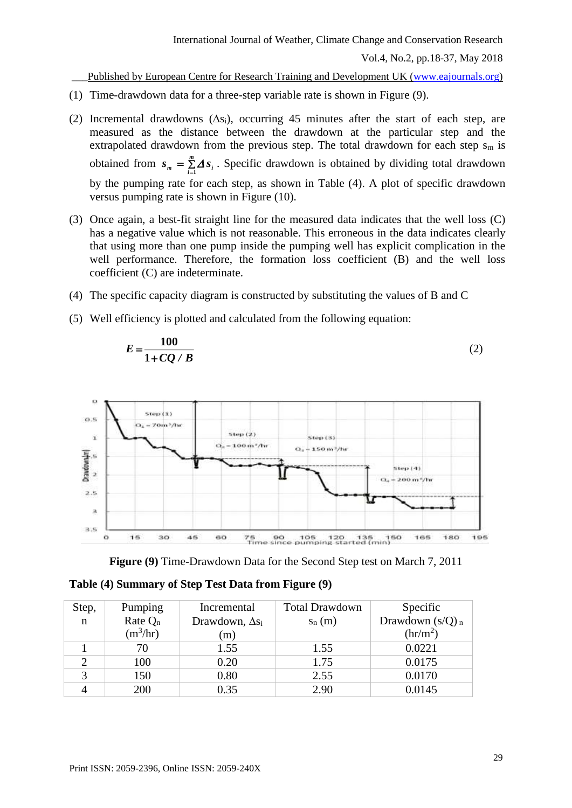Published by European Centre for Research Training and Development UK [\(www.eajournals.org\)](http://www.eajournals.org/)

- (1) Time-drawdown data for a three-step variable rate is shown in Figure (9).
- (2) Incremental drawdowns  $(\Delta s_i)$ , occurring 45 minutes after the start of each step, are measured as the distance between the drawdown at the particular step and the extrapolated drawdown from the previous step. The total drawdown for each step  $s_m$  is obtained from  $s_m = \sum_{m=1}^{\infty}$ *i*  $s_m = \sum A s_i$ . Specific drawdown is obtained by dividing total drawdown by the pumping rate for each step, as shown in Table (4). A plot of specific drawdown versus pumping rate is shown in Figure (10).
- (3) Once again, a best-fit straight line for the measured data indicates that the well loss (C) has a negative value which is not reasonable. This erroneous in the data indicates clearly that using more than one pump inside the pumping well has explicit complication in the well performance. Therefore, the formation loss coefficient (B) and the well loss coefficient (C) are indeterminate.
- (4) The specific capacity diagram is constructed by substituting the values of B and C
- (5) Well efficiency is plotted and calculated from the following equation:

$$
E = \frac{100}{1 + CQ/B} \tag{2}
$$



**Figure (9)** Time-Drawdown Data for the Second Step test on March 7, 2011

| Table (4) Summary of Step Test Data from Figure (9) |
|-----------------------------------------------------|
|-----------------------------------------------------|

| Step,       | Pumping    | Incremental            | <b>Total Drawdown</b> | Specific                      |
|-------------|------------|------------------------|-----------------------|-------------------------------|
| $\mathbf n$ | Rate $Q_n$ | Drawdown, $\Delta s_i$ | $S_n(m)$              | Drawdown $(s/Q)_n$            |
|             | $(m^3/hr)$ | (m)                    |                       | $\left(\frac{hr}{m^2}\right)$ |
|             | 70         | 1.55                   | 1.55                  | 0.0221                        |
| $\gamma$    | 100        | 0.20                   | 1.75                  | 0.0175                        |
| 3           | 150        | 0.80                   | 2.55                  | 0.0170                        |
|             | 200        | 0.35                   | 2.90                  | 0.0145                        |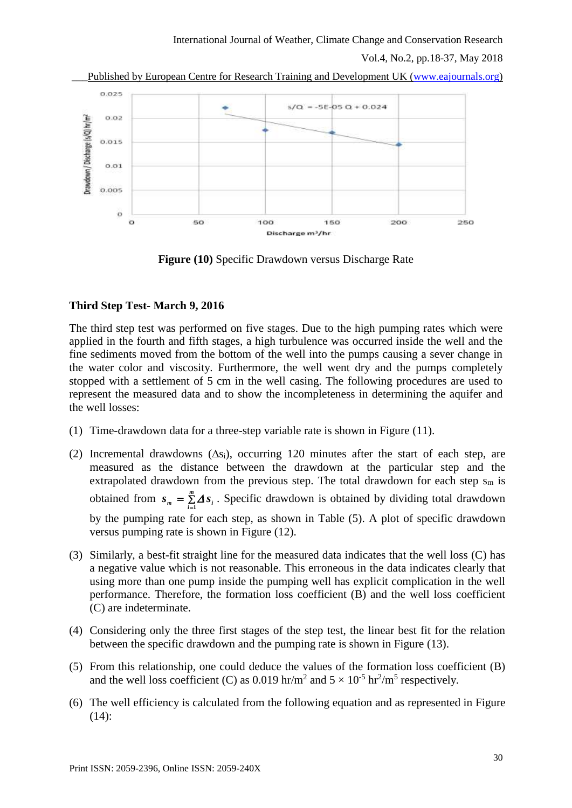

**Figure (10)** Specific Drawdown versus Discharge Rate

## **Third Step Test- March 9, 2016**

The third step test was performed on five stages. Due to the high pumping rates which were applied in the fourth and fifth stages, a high turbulence was occurred inside the well and the fine sediments moved from the bottom of the well into the pumps causing a sever change in the water color and viscosity. Furthermore, the well went dry and the pumps completely stopped with a settlement of 5 cm in the well casing. The following procedures are used to represent the measured data and to show the incompleteness in determining the aquifer and the well losses:

- (1) Time-drawdown data for a three-step variable rate is shown in Figure (11).
- (2) Incremental drawdowns  $(\Delta s_i)$ , occurring 120 minutes after the start of each step, are measured as the distance between the drawdown at the particular step and the extrapolated drawdown from the previous step. The total drawdown for each step  $s_m$  is obtained from  $s_m = \sum_{i=1}^{m}$  $s_m = \sum_{i=1}^{m} \Delta s_i$ . Specific drawdown is obtained by dividing total drawdown by the pumping rate for each step, as shown in Table (5). A plot of specific drawdown versus pumping rate is shown in Figure (12).
- (3) Similarly, a best-fit straight line for the measured data indicates that the well loss (C) has a negative value which is not reasonable. This erroneous in the data indicates clearly that using more than one pump inside the pumping well has explicit complication in the well performance. Therefore, the formation loss coefficient (B) and the well loss coefficient (C) are indeterminate.
- (4) Considering only the three first stages of the step test, the linear best fit for the relation between the specific drawdown and the pumping rate is shown in Figure (13).
- (5) From this relationship, one could deduce the values of the formation loss coefficient (B) and the well loss coefficient (C) as 0.019 hr/m<sup>2</sup> and  $5 \times 10^{-5}$  hr<sup>2</sup>/m<sup>5</sup> respectively.
- (6) The well efficiency is calculated from the following equation and as represented in Figure (14):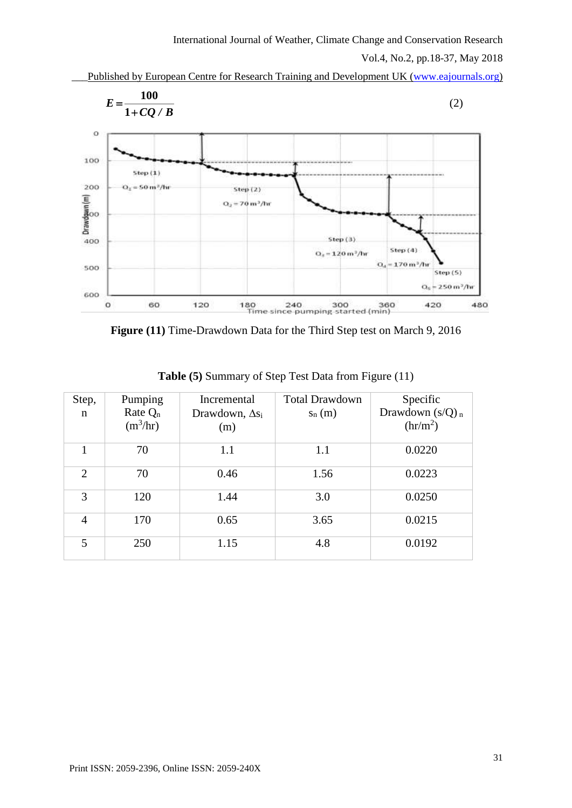

Published by European Centre for Research Training and Development UK [\(www.eajournals.org\)](http://www.eajournals.org/)

**Figure (11)** Time-Drawdown Data for the Third Step test on March 9, 2016

| Step,<br>n     | Pumping<br>Rate $Q_n$<br>$(m^3/hr)$ | Incremental<br>Drawdown, $\Delta s_i$<br>(m) | <b>Total Drawdown</b><br>$S_n(m)$ | Specific<br>Drawdown $(s/Q)_n$<br>$\left(\frac{hr}{m^2}\right)$ |
|----------------|-------------------------------------|----------------------------------------------|-----------------------------------|-----------------------------------------------------------------|
|                | 70                                  | 1.1                                          | 1.1                               | 0.0220                                                          |
| $\overline{2}$ | 70                                  | 0.46                                         | 1.56                              | 0.0223                                                          |
| 3              | 120                                 | 1.44                                         | 3.0                               | 0.0250                                                          |
| $\overline{4}$ | 170                                 | 0.65                                         | 3.65                              | 0.0215                                                          |
| 5              | 250                                 | 1.15                                         | 4.8                               | 0.0192                                                          |

**Table (5)** Summary of Step Test Data from Figure (11)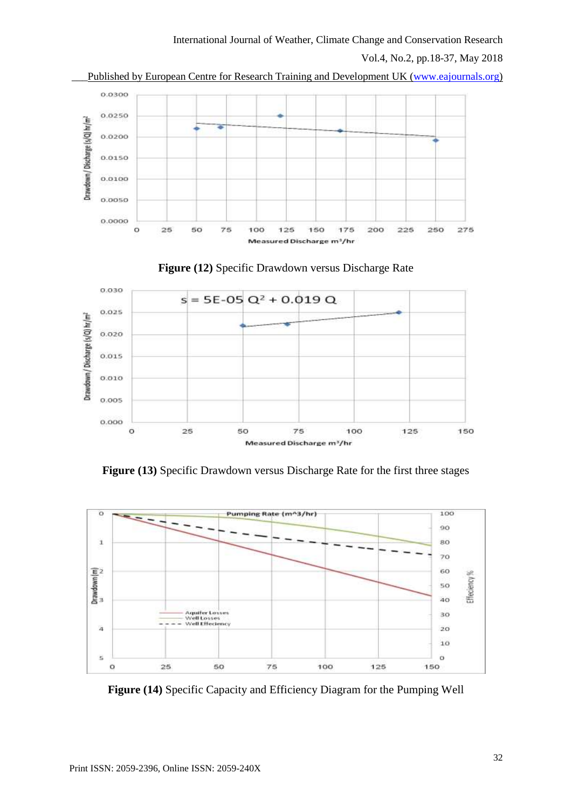Vol.4, No.2, pp.18-37, May 2018







**Figure (13)** Specific Drawdown versus Discharge Rate for the first three stages



**Figure (14)** Specific Capacity and Efficiency Diagram for the Pumping Well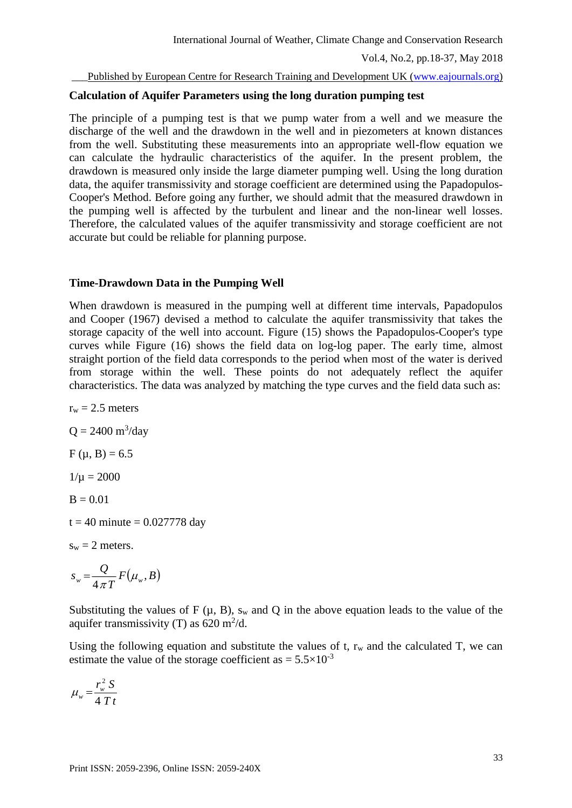### **Calculation of Aquifer Parameters using the long duration pumping test**

The principle of a pumping test is that we pump water from a well and we measure the discharge of the well and the drawdown in the well and in piezometers at known distances from the well. Substituting these measurements into an appropriate well-flow equation we can calculate the hydraulic characteristics of the aquifer. In the present problem, the drawdown is measured only inside the large diameter pumping well. Using the long duration data, the aquifer transmissivity and storage coefficient are determined using the Papadopulos-Cooper's Method. Before going any further, we should admit that the measured drawdown in the pumping well is affected by the turbulent and linear and the non-linear well losses. Therefore, the calculated values of the aquifer transmissivity and storage coefficient are not accurate but could be reliable for planning purpose.

### **Time-Drawdown Data in the Pumping Well**

When drawdown is measured in the pumping well at different time intervals, Papadopulos and Cooper (1967) devised a method to calculate the aquifer transmissivity that takes the storage capacity of the well into account. Figure (15) shows the Papadopulos-Cooper's type curves while Figure (16) shows the field data on log-log paper. The early time, almost straight portion of the field data corresponds to the period when most of the water is derived from storage within the well. These points do not adequately reflect the aquifer characteristics. The data was analyzed by matching the type curves and the field data such as:

 $r_w = 2.5$  meters  $Q = 2400 \text{ m}^3/\text{day}$  $F (u, B) = 6.5$  $1/\mu = 2000$  $B = 0.01$  $t = 40$  minute = 0.027778 day  $s_w = 2$  meters.

$$
S_w = \frac{Q}{4 \pi T} F(\mu_w, B)
$$

Substituting the values of  $F(\mu, B)$ , sw and Q in the above equation leads to the value of the aquifer transmissivity (T) as  $620 \text{ m}^2/\text{d}$ .

Using the following equation and substitute the values of  $t$ ,  $r_w$  and the calculated T, we can estimate the value of the storage coefficient as  $= 5.5 \times 10^{-3}$ 

$$
\mu_w = \frac{r_w^2 S}{4 T t}
$$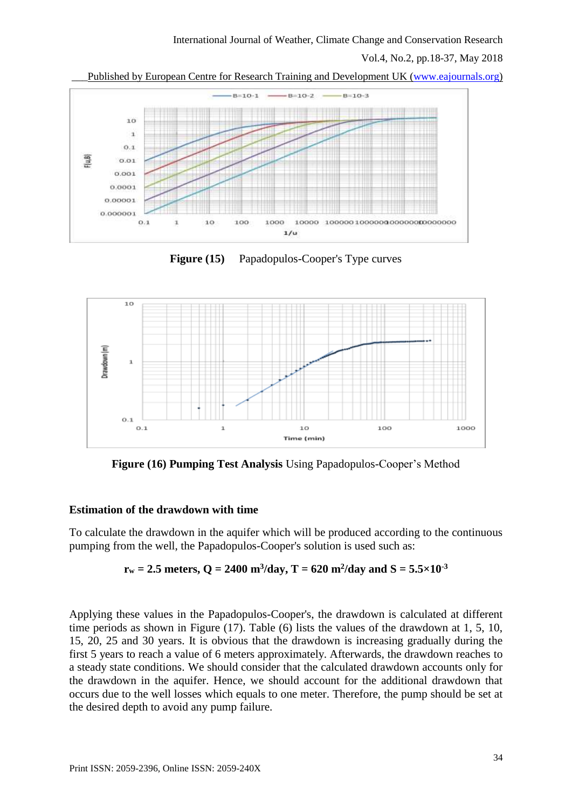\_\_\_Published by European Centre for Research Training and Development UK [\(www.eajournals.org\)](http://www.eajournals.org/)



**Figure (15)** Papadopulos-Cooper's Type curves



**Figure (16) Pumping Test Analysis** Using Papadopulos-Cooper's Method

# **Estimation of the drawdown with time**

To calculate the drawdown in the aquifer which will be produced according to the continuous pumping from the well, the Papadopulos-Cooper's solution is used such as:

$$
r_w = 2.5
$$
 meters,  $Q = 2400$  m<sup>3</sup>/day,  $T = 620$  m<sup>2</sup>/day and  $S = 5.5 \times 10^{-3}$ 

Applying these values in the Papadopulos-Cooper's, the drawdown is calculated at different time periods as shown in Figure (17). Table (6) lists the values of the drawdown at 1, 5, 10, 15, 20, 25 and 30 years. It is obvious that the drawdown is increasing gradually during the first 5 years to reach a value of 6 meters approximately. Afterwards, the drawdown reaches to a steady state conditions. We should consider that the calculated drawdown accounts only for the drawdown in the aquifer. Hence, we should account for the additional drawdown that occurs due to the well losses which equals to one meter. Therefore, the pump should be set at the desired depth to avoid any pump failure.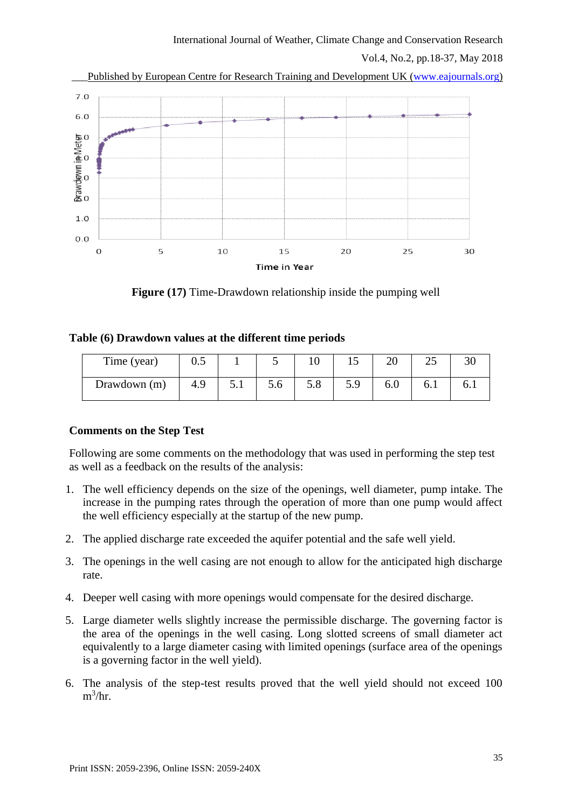Vol.4, No.2, pp.18-37, May 2018



**Figure (17)** Time-Drawdown relationship inside the pumping well

# **Table (6) Drawdown values at the different time periods**

| Time (year)  | v.J |    | ~   | ιv        | ⊥ັ  | $\sim$<br>∠∪ | ل   |  |
|--------------|-----|----|-----|-----------|-----|--------------|-----|--|
| Drawdown (m) | 4.9 | ◡. | 5.6 | $\cup$ .0 | 5.9 | v.v          | 0.1 |  |

# **Comments on the Step Test**

Following are some comments on the methodology that was used in performing the step test as well as a feedback on the results of the analysis:

- 1. The well efficiency depends on the size of the openings, well diameter, pump intake. The increase in the pumping rates through the operation of more than one pump would affect the well efficiency especially at the startup of the new pump.
- 2. The applied discharge rate exceeded the aquifer potential and the safe well yield.
- 3. The openings in the well casing are not enough to allow for the anticipated high discharge rate.
- 4. Deeper well casing with more openings would compensate for the desired discharge.
- 5. Large diameter wells slightly increase the permissible discharge. The governing factor is the area of the openings in the well casing. Long slotted screens of small diameter act equivalently to a large diameter casing with limited openings (surface area of the openings is a governing factor in the well yield).
- 6. The analysis of the step-test results proved that the well yield should not exceed 100  $m^3/hr.$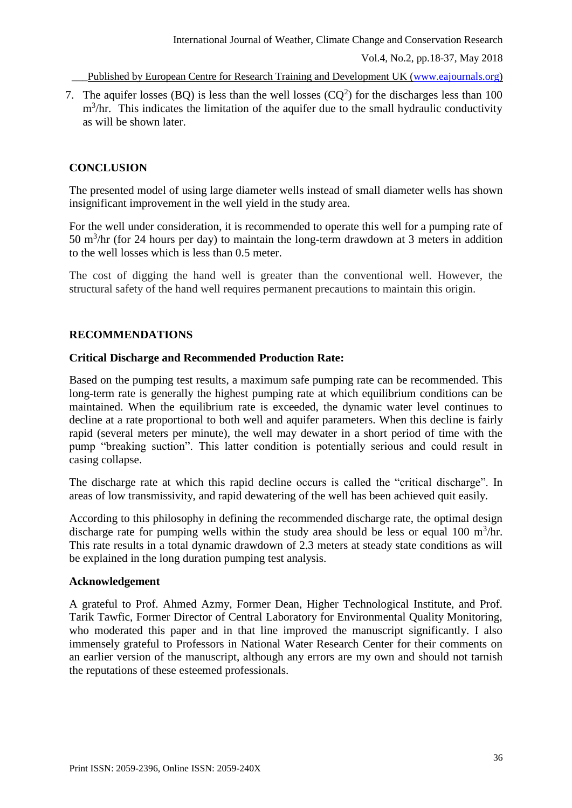7. The aquifer losses (BQ) is less than the well losses  $(CQ<sup>2</sup>)$  for the discharges less than 100  $m<sup>3</sup>/hr$ . This indicates the limitation of the aquifer due to the small hydraulic conductivity as will be shown later.

# **CONCLUSION**

The presented model of using large diameter wells instead of small diameter wells has shown insignificant improvement in the well yield in the study area.

For the well under consideration, it is recommended to operate this well for a pumping rate of 50 m<sup>3</sup>/hr (for 24 hours per day) to maintain the long-term drawdown at 3 meters in addition to the well losses which is less than 0.5 meter.

The cost of digging the hand well is greater than the conventional well. However, the structural safety of the hand well requires permanent precautions to maintain this origin.

# **RECOMMENDATIONS**

## **Critical Discharge and Recommended Production Rate:**

Based on the pumping test results, a maximum safe pumping rate can be recommended. This long-term rate is generally the highest pumping rate at which equilibrium conditions can be maintained. When the equilibrium rate is exceeded, the dynamic water level continues to decline at a rate proportional to both well and aquifer parameters. When this decline is fairly rapid (several meters per minute), the well may dewater in a short period of time with the pump "breaking suction". This latter condition is potentially serious and could result in casing collapse.

The discharge rate at which this rapid decline occurs is called the "critical discharge". In areas of low transmissivity, and rapid dewatering of the well has been achieved quit easily.

According to this philosophy in defining the recommended discharge rate, the optimal design discharge rate for pumping wells within the study area should be less or equal 100  $m^3/nr$ . This rate results in a total dynamic drawdown of 2.3 meters at steady state conditions as will be explained in the long duration pumping test analysis.

### **Acknowledgement**

A grateful to Prof. Ahmed Azmy, Former Dean, Higher Technological Institute, and Prof. Tarik Tawfic, Former Director of Central Laboratory for Environmental Quality Monitoring, who moderated this paper and in that line improved the manuscript significantly. I also immensely grateful to Professors in National Water Research Center for their comments on an earlier version of the manuscript, although any errors are my own and should not tarnish the reputations of these esteemed professionals.